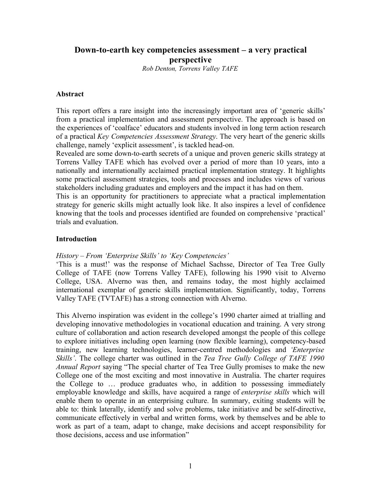# **Down-to-earth key competencies assessment – a very practical perspective**

*Rob Denton, Torrens Valley TAFE*

#### **Abstract**

This report offers a rare insight into the increasingly important area of 'generic skills' from a practical implementation and assessment perspective. The approach is based on the experiences of 'coalface' educators and students involved in long term action research of a practical *Key Competencies Assessment Strategy*. The very heart of the generic skills challenge, namely 'explicit assessment', is tackled head-on.

Revealed are some down-to-earth secrets of a unique and proven generic skills strategy at Torrens Valley TAFE which has evolved over a period of more than 10 years, into a nationally and internationally acclaimed practical implementation strategy. It highlights some practical assessment strategies, tools and processes and includes views of various stakeholders including graduates and employers and the impact it has had on them.

This is an opportunity for practitioners to appreciate what a practical implementation strategy for generic skills might actually look like. It also inspires a level of confidence knowing that the tools and processes identified are founded on comprehensive 'practical' trials and evaluation.

#### **Introduction**

*History – From 'Enterprise Skills' to 'Key Competencies'*

'This is a must!' was the response of Michael Sachsse, Director of Tea Tree Gully College of TAFE (now Torrens Valley TAFE), following his 1990 visit to Alverno College, USA. Alverno was then, and remains today, the most highly acclaimed international exemplar of generic skills implementation. Significantly, today, Torrens Valley TAFE (TVTAFE) has a strong connection with Alverno.

This Alverno inspiration was evident in the college's 1990 charter aimed at trialling and developing innovative methodologies in vocational education and training. A very strong culture of collaboration and action research developed amongst the people of this college to explore initiatives including open learning (now flexible learning), competency-based training, new learning technologies, learner-centred methodologies and *'Enterprise Skills'*. The college charter was outlined in the *Tea Tree Gully College of TAFE 1990 Annual Report* saying "The special charter of Tea Tree Gully promises to make the new College one of the most exciting and most innovative in Australia. The charter requires the College to … produce graduates who, in addition to possessing immediately employable knowledge and skills, have acquired a range of *enterprise skills* which will enable them to operate in an enterprising culture. In summary, exiting students will be able to: think laterally, identify and solve problems, take initiative and be self-directive, communicate effectively in verbal and written forms, work by themselves and be able to work as part of a team, adapt to change, make decisions and accept responsibility for those decisions, access and use information"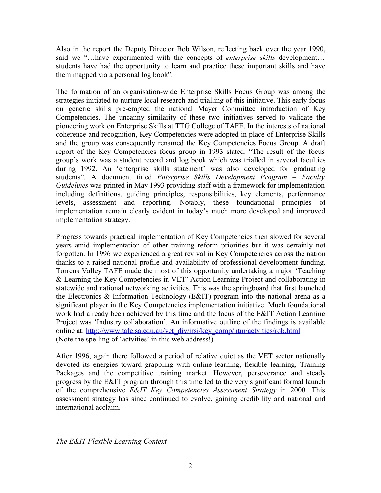Also in the report the Deputy Director Bob Wilson, reflecting back over the year 1990, said we "…have experimented with the concepts of *enterprise skills* development… students have had the opportunity to learn and practice these important skills and have them mapped via a personal log book".

The formation of an organisation-wide Enterprise Skills Focus Group was among the strategies initiated to nurture local research and trialling of this initiative. This early focus on generic skills pre-empted the national Mayer Committee introduction of Key Competencies. The uncanny similarity of these two initiatives served to validate the pioneering work on Enterprise Skills at TTG College of TAFE. In the interests of national coherence and recognition, Key Competencies were adopted in place of Enterprise Skills and the group was consequently renamed the Key Competencies Focus Group. A draft report of the Key Competencies focus group in 1993 stated: "The result of the focus group's work was a student record and log book which was trialled in several faculties during 1992. An 'enterprise skills statement' was also developed for graduating students". A document titled *Enterprise Skills Development Program – Faculty Guidelines* was printed in May 1993 providing staff with a framework for implementation including definitions, guiding principles, responsibilities, key elements, performance levels, assessment and reporting. Notably, these foundational principles of implementation remain clearly evident in today's much more developed and improved implementation strategy.

Progress towards practical implementation of Key Competencies then slowed for several years amid implementation of other training reform priorities but it was certainly not forgotten. In 1996 we experienced a great revival in Key Competencies across the nation thanks to a raised national profile and availability of professional development funding. Torrens Valley TAFE made the most of this opportunity undertaking a major 'Teaching & Learning the Key Competencies in VET' Action Learning Project and collaborating in statewide and national networking activities. This was the springboard that first launched the Electronics & Information Technology (E&IT) program into the national arena as a significant player in the Key Competencies implementation initiative. Much foundational work had already been achieved by this time and the focus of the E&IT Action Learning Project was 'Industry collaboration'. An informative outline of the findings is available online at: http://www.tafe.sa.edu.au/vet\_div/irsi/key\_comp/htm/actvities/rob.html (Note the spelling of 'actvities' in this web address!)

After 1996, again there followed a period of relative quiet as the VET sector nationally devoted its energies toward grappling with online learning, flexible learning, Training Packages and the competitive training market. However, perseverance and steady progress by the E&IT program through this time led to the very significant formal launch of the comprehensive *E&IT Key Competencies Assessment Strategy* in 2000. This assessment strategy has since continued to evolve, gaining credibility and national and international acclaim.

*The E&IT Flexible Learning Context*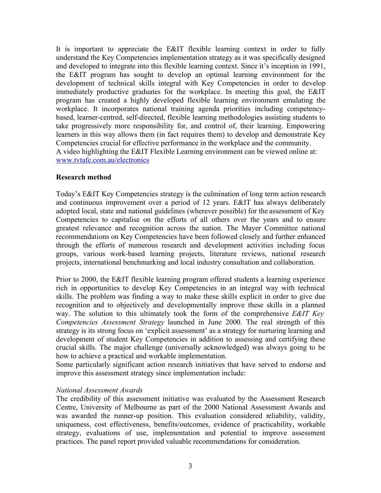It is important to appreciate the E&IT flexible learning context in order to fully understand the Key Competencies implementation strategy as it was specifically designed and developed to integrate into this flexible learning context. Since it's inception in 1991, the E&IT program has sought to develop an optimal learning environment for the development of technical skills integral with Key Competencies in order to develop immediately productive graduates for the workplace. In meeting this goal, the E&IT program has created a highly developed flexible learning environment emulating the workplace. It incorporates national training agenda priorities including competencybased, learner-centred, self-directed, flexible learning methodologies assisting students to take progressively more responsibility for, and control of, their learning. Empowering learners in this way allows them (in fact requires them) to develop and demonstrate Key Competencies crucial for effective performance in the workplace and the community. A video highlighting the E&IT Flexible Learning environment can be viewed online at: www.tvtafe.com.au/electronics

#### **Research method**

Today's E&IT Key Competencies strategy is the culmination of long term action research and continuous improvement over a period of 12 years. E&IT has always deliberately adopted local, state and national guidelines (wherever possible) for the assessment of Key Competencies to capitalise on the efforts of all others over the years and to ensure greatest relevance and recognition across the nation. The Mayer Committee national recommendations on Key Competencies have been followed closely and further enhanced through the efforts of numerous research and development activities including focus groups, various work-based learning projects, literature reviews, national research projects, international benchmarking and local industry consultation and collaboration.

Prior to 2000, the E&IT flexible learning program offered students a learning experience rich in opportunities to develop Key Competencies in an integral way with technical skills. The problem was finding a way to make these skills explicit in order to give due recognition and to objectively and developmentally improve these skills in a planned way. The solution to this ultimately took the form of the comprehensive *E&IT Key Competencies Assessment Strategy* launched in June 2000. The real strength of this strategy is its strong focus on 'explicit assessment' as a strategy for nurturing learning and development of student Key Competencies in addition to assessing and certifying these crucial skills. The major challenge (universally acknowledged) was always going to be how to achieve a practical and workable implementation.

Some particularly significant action research initiatives that have served to endorse and improve this assessment strategy since implementation include:

#### *National Assessment Awards*

The credibility of this assessment initiative was evaluated by the Assessment Research Centre, University of Melbourne as part of the 2000 National Assessment Awards and was awarded the runner-up position. This evaluation considered reliability, validity, uniqueness, cost effectiveness, benefits/outcomes, evidence of practicability, workable strategy, evaluations of use, implementation and potential to improve assessment practices. The panel report provided valuable recommendations for consideration.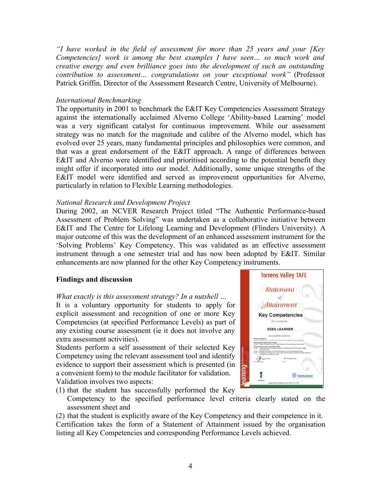*"I have worked in the field of assessment for more than 25 years and your [Key Competencies] work is among the best examples I have seen… so much work and creative energy and even brilliance goes into the development of such an outstanding contribution to assessment… congratulations on your exceptional work"* (Professor Patrick Griffin, Director of the Assessment Research Centre, University of Melbourne).

#### *International Benchmarking*

The opportunity in 2001 to benchmark the E&IT Key Competencies Assessment Strategy against the internationally acclaimed Alverno College 'Ability-based Learning' model was a very significant catalyst for continuous improvement. While our assessment strategy was no match for the magnitude and calibre of the Alverno model, which has evolved over 25 years, many fundamental principles and philosophies were common, and that was a great endorsement of the E&IT approach. A range of differences between E&IT and Alverno were identified and prioritised according to the potential benefit they might offer if incorporated into our model. Additionally, some unique strengths of the E&IT model were identified and served as improvement opportunities for Alverno, particularly in relation to Flexible Learning methodologies.

#### *National Research and Development Project*

During 2002, an NCVER Research Project titled "The Authentic Performance-based Assessment of Problem Solving" was undertaken as a collaborative initiative between E&IT and The Centre for Lifelong Learning and Development (Flinders University). A major outcome of this was the development of an enhanced assessment instrument for the 'Solving Problems' Key Competency. This was validated as an effective assessment instrument through a one semester trial and has now been adopted by E&IT. Similar enhancements are now planned for the other Key Competency instruments.

### **Findings and discussion**

#### *What exactly is this assessment strategy? In a nutshell …*

It is a voluntary opportunity for students to apply for explicit assessment and recognition of one or more Key Competencies (at specified Performance Levels) as part of any existing course assessment (ie it does not involve any extra assessment activities).

Students perform a self assessment of their selected Key Competency using the relevant assessment tool and identify evidence to support their assessment which is presented (in a convenient form) to the module facilitator for validation. Validation involves two aspects:



- (1) that the student has successfully performed the Key
	- Competency to the specified performance level criteria clearly stated on the assessment sheet and

(2) that the student is explicitly aware of the Key Competency and their competence in it. Certification takes the form of a Statement of Attainment issued by the organisation listing all Key Competencies and corresponding Performance Levels achieved.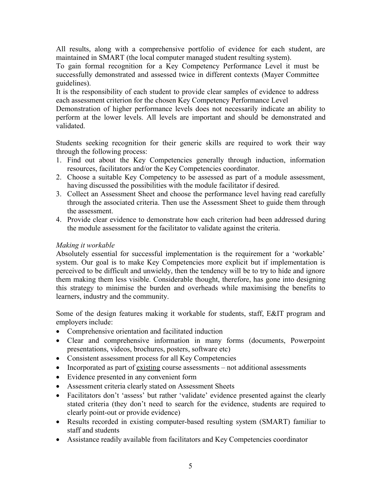All results, along with a comprehensive portfolio of evidence for each student, are maintained in SMART (the local computer managed student resulting system).

To gain formal recognition for a Key Competency Performance Level it must be successfully demonstrated and assessed twice in different contexts (Mayer Committee guidelines).

It is the responsibility of each student to provide clear samples of evidence to address each assessment criterion for the chosen Key Competency Performance Level

Demonstration of higher performance levels does not necessarily indicate an ability to perform at the lower levels. All levels are important and should be demonstrated and validated.

Students seeking recognition for their generic skills are required to work their way through the following process:

- 1. Find out about the Key Competencies generally through induction, information resources, facilitators and/or the Key Competencies coordinator.
- 2. Choose a suitable Key Competency to be assessed as part of a module assessment, having discussed the possibilities with the module facilitator if desired.
- 3. Collect an Assessment Sheet and choose the performance level having read carefully through the associated criteria. Then use the Assessment Sheet to guide them through the assessment.
- 4. Provide clear evidence to demonstrate how each criterion had been addressed during the module assessment for the facilitator to validate against the criteria.

### *Making it workable*

Absolutely essential for successful implementation is the requirement for a 'workable' system. Our goal is to make Key Competencies more explicit but if implementation is perceived to be difficult and unwieldy, then the tendency will be to try to hide and ignore them making them less visible. Considerable thought, therefore, has gone into designing this strategy to minimise the burden and overheads while maximising the benefits to learners, industry and the community.

Some of the design features making it workable for students, staff, E&IT program and employers include:

- Comprehensive orientation and facilitated induction
- Clear and comprehensive information in many forms (documents, Powerpoint presentations, videos, brochures, posters, software etc)
- Consistent assessment process for all Key Competencies
- Incorporated as part of existing course assessments not additional assessments
- Evidence presented in any convenient form
- Assessment criteria clearly stated on Assessment Sheets
- Facilitators don't 'assess' but rather 'validate' evidence presented against the clearly stated criteria (they don't need to search for the evidence, students are required to clearly point-out or provide evidence)
- Results recorded in existing computer-based resulting system (SMART) familiar to staff and students
- Assistance readily available from facilitators and Key Competencies coordinator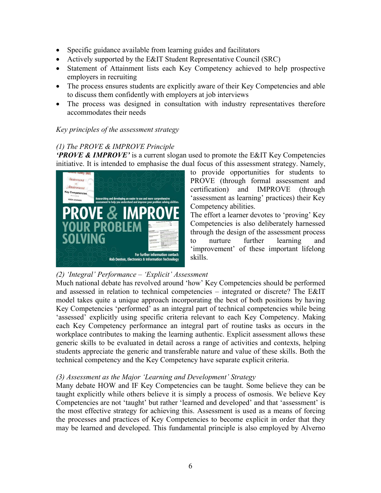- Specific guidance available from learning guides and facilitators
- Actively supported by the E&IT Student Representative Council (SRC)
- Statement of Attainment lists each Key Competency achieved to help prospective employers in recruiting
- The process ensures students are explicitly aware of their Key Competencies and able to discuss them confidently with employers at job interviews
- The process was designed in consultation with industry representatives therefore accommodates their needs

## *Key principles of the assessment strategy*

# *(1) The PROVE & IMPROVE Principle*

*'PROVE & IMPROVE'* is a current slogan used to promote the E&IT Key Competencies initiative. It is intended to emphasise the dual focus of this assessment strategy. Namely,



to provide opportunities for students to PROVE (through formal assessment and certification) and IMPROVE (through 'assessment as learning' practices) their Key Competency abilities.

The effort a learner devotes to 'proving' Key Competencies is also deliberately harnessed through the design of the assessment process to nurture further learning and 'improvement' of these important lifelong skills.

# *(2) 'Integral' Performance – 'Explicit' Assessment*

Much national debate has revolved around 'how' Key Competencies should be performed and assessed in relation to technical competencies – integrated or discrete? The E&IT model takes quite a unique approach incorporating the best of both positions by having Key Competencies 'performed' as an integral part of technical competencies while being 'assessed' explicitly using specific criteria relevant to each Key Competency. Making each Key Competency performance an integral part of routine tasks as occurs in the workplace contributes to making the learning authentic. Explicit assessment allows these generic skills to be evaluated in detail across a range of activities and contexts, helping students appreciate the generic and transferable nature and value of these skills. Both the technical competency and the Key Competency have separate explicit criteria.

### *(3) Assessment as the Major 'Learning and Development' Strategy*

Many debate HOW and IF Key Competencies can be taught. Some believe they can be taught explicitly while others believe it is simply a process of osmosis. We believe Key Competencies are not 'taught' but rather 'learned and developed' and that 'assessment' is the most effective strategy for achieving this. Assessment is used as a means of forcing the processes and practices of Key Competencies to become explicit in order that they may be learned and developed. This fundamental principle is also employed by Alverno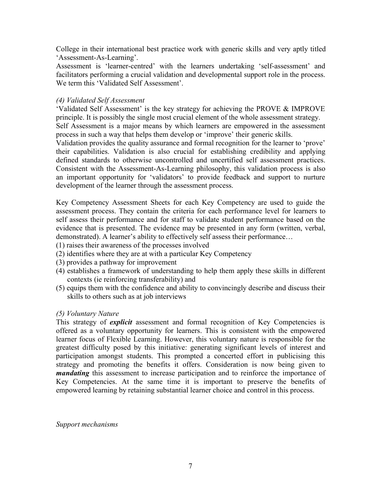College in their international best practice work with generic skills and very aptly titled 'Assessment-As-Learning'.

Assessment is 'learner-centred' with the learners undertaking 'self-assessment' and facilitators performing a crucial validation and developmental support role in the process. We term this 'Validated Self Assessment'.

### *(4) Validated Self Assessment*

'Validated Self Assessment' is the key strategy for achieving the PROVE & IMPROVE principle. It is possibly the single most crucial element of the whole assessment strategy. Self Assessment is a major means by which learners are empowered in the assessment process in such a way that helps them develop or 'improve' their generic skills.

Validation provides the quality assurance and formal recognition for the learner to 'prove' their capabilities. Validation is also crucial for establishing credibility and applying defined standards to otherwise uncontrolled and uncertified self assessment practices. Consistent with the Assessment-As-Learning philosophy, this validation process is also an important opportunity for 'validators' to provide feedback and support to nurture development of the learner through the assessment process.

Key Competency Assessment Sheets for each Key Competency are used to guide the assessment process. They contain the criteria for each performance level for learners to self assess their performance and for staff to validate student performance based on the evidence that is presented. The evidence may be presented in any form (written, verbal, demonstrated). A learner's ability to effectively self assess their performance…

- (1) raises their awareness of the processes involved
- (2) identifies where they are at with a particular Key Competency
- (3) provides a pathway for improvement
- (4) establishes a framework of understanding to help them apply these skills in different contexts (ie reinforcing transferability) and
- (5) equips them with the confidence and ability to convincingly describe and discuss their skills to others such as at job interviews

#### *(5) Voluntary Nature*

This strategy of *explicit* assessment and formal recognition of Key Competencies is offered as a voluntary opportunity for learners. This is consistent with the empowered learner focus of Flexible Learning. However, this voluntary nature is responsible for the greatest difficulty posed by this initiative: generating significant levels of interest and participation amongst students. This prompted a concerted effort in publicising this strategy and promoting the benefits it offers. Consideration is now being given to *mandating* this assessment to increase participation and to reinforce the importance of Key Competencies. At the same time it is important to preserve the benefits of empowered learning by retaining substantial learner choice and control in this process.

*Support mechanisms*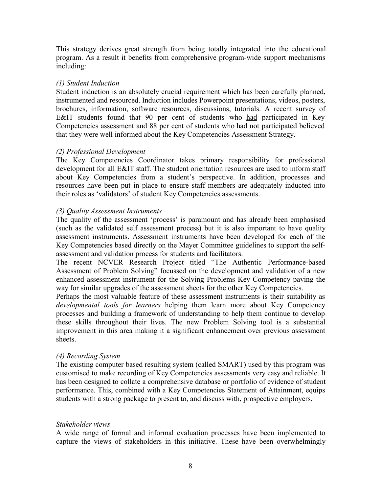This strategy derives great strength from being totally integrated into the educational program. As a result it benefits from comprehensive program-wide support mechanisms including:

#### *(1) Student Induction*

Student induction is an absolutely crucial requirement which has been carefully planned, instrumented and resourced. Induction includes Powerpoint presentations, videos, posters, brochures, information, software resources, discussions, tutorials. A recent survey of E&IT students found that 90 per cent of students who had participated in Key Competencies assessment and 88 per cent of students who had not participated believed that they were well informed about the Key Competencies Assessment Strategy.

#### *(2) Professional Development*

The Key Competencies Coordinator takes primary responsibility for professional development for all E&IT staff. The student orientation resources are used to inform staff about Key Competencies from a student's perspective. In addition, processes and resources have been put in place to ensure staff members are adequately inducted into their roles as 'validators' of student Key Competencies assessments.

### *(3) Quality Assessment Instruments*

The quality of the assessment 'process' is paramount and has already been emphasised (such as the validated self assessment process) but it is also important to have quality assessment instruments. Assessment instruments have been developed for each of the Key Competencies based directly on the Mayer Committee guidelines to support the selfassessment and validation process for students and facilitators.

The recent NCVER Research Project titled "The Authentic Performance-based Assessment of Problem Solving" focussed on the development and validation of a new enhanced assessment instrument for the Solving Problems Key Competency paving the way for similar upgrades of the assessment sheets for the other Key Competencies.

Perhaps the most valuable feature of these assessment instruments is their suitability as *developmental tools for learners* helping them learn more about Key Competency processes and building a framework of understanding to help them continue to develop these skills throughout their lives. The new Problem Solving tool is a substantial improvement in this area making it a significant enhancement over previous assessment sheets.

### *(4) Recording System*

The existing computer based resulting system (called SMART) used by this program was customised to make recording of Key Competencies assessments very easy and reliable. It has been designed to collate a comprehensive database or portfolio of evidence of student performance. This, combined with a Key Competencies Statement of Attainment, equips students with a strong package to present to, and discuss with, prospective employers.

#### *Stakeholder views*

A wide range of formal and informal evaluation processes have been implemented to capture the views of stakeholders in this initiative. These have been overwhelmingly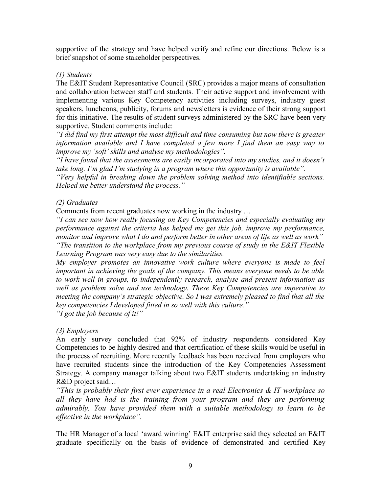supportive of the strategy and have helped verify and refine our directions. Below is a brief snapshot of some stakeholder perspectives.

#### *(1) Students*

The E&IT Student Representative Council (SRC) provides a major means of consultation and collaboration between staff and students. Their active support and involvement with implementing various Key Competency activities including surveys, industry guest speakers, luncheons, publicity, forums and newsletters is evidence of their strong support for this initiative. The results of student surveys administered by the SRC have been very supportive. Student comments include:

*"I did find my first attempt the most difficult and time consuming but now there is greater information available and I have completed a few more I find them an easy way to improve my 'soft' skills and analyse my methodologies".*

*"I have found that the assessments are easily incorporated into my studies, and it doesn't take long. I'm glad I'm studying in a program where this opportunity is available".*

*"Very helpful in breaking down the problem solving method into identifiable sections. Helped me better understand the process."*

### *(2) Graduates*

Comments from recent graduates now working in the industry …

*"I can see now how really focusing on Key Competencies and especially evaluating my performance against the criteria has helped me get this job, improve my performance, monitor and improve what I do and perform better in other areas of life as well as work" "The transition to the workplace from my previous course of study in the E&IT Flexible Learning Program was very easy due to the similarities.*

*My employer promotes an innovative work culture where everyone is made to feel important in achieving the goals of the company. This means everyone needs to be able to work well in groups, to independently research, analyse and present information as well as problem solve and use technology. These Key Competencies are imperative to meeting the company's strategic objective. So I was extremely pleased to find that all the key competencies I developed fitted in so well with this culture." "I got the job because of it!"*

### *(3) Employers*

An early survey concluded that 92% of industry respondents considered Key Competencies to be highly desired and that certification of these skills would be useful in the process of recruiting. More recently feedback has been received from employers who have recruited students since the introduction of the Key Competencies Assessment Strategy. A company manager talking about two E&IT students undertaking an industry R&D project said…

*"This is probably their first ever experience in a real Electronics & IT workplace so all they have had is the training from your program and they are performing admirably. You have provided them with a suitable methodology to learn to be effective in the workplace".*

The HR Manager of a local 'award winning' E&IT enterprise said they selected an E&IT graduate specifically on the basis of evidence of demonstrated and certified Key